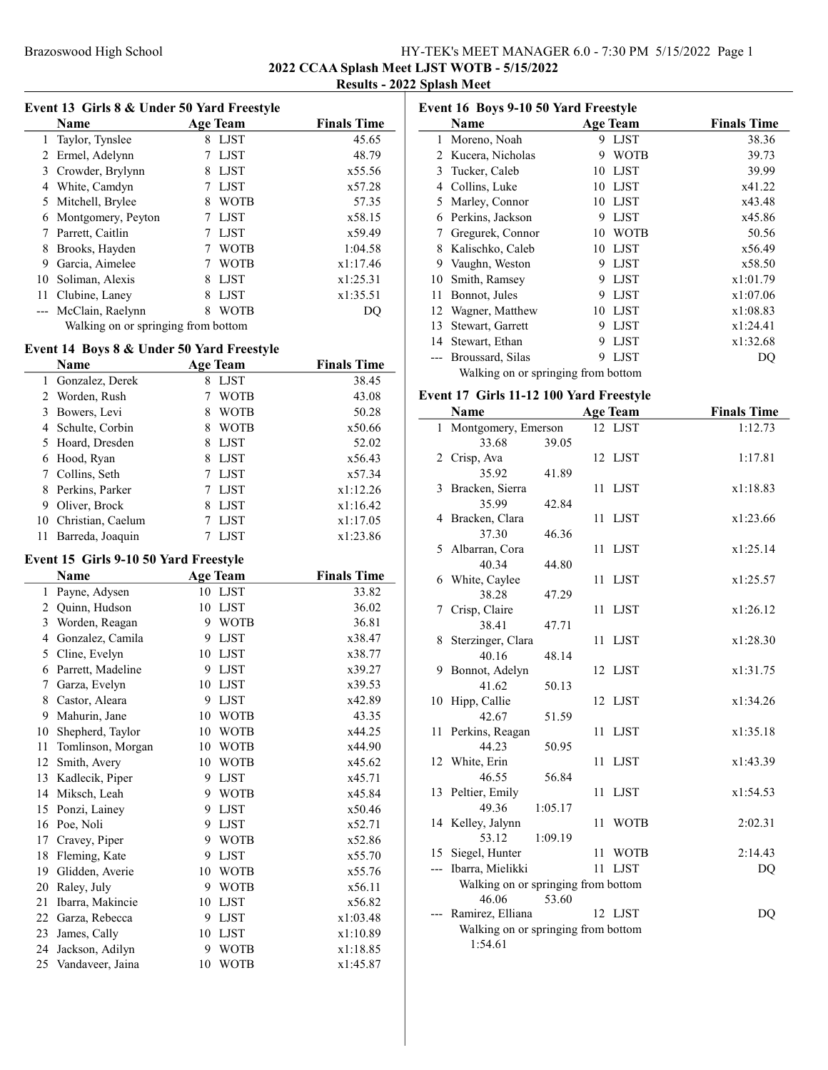## Brazoswood High School High School HY-TEK's MEET MANAGER 6.0 - 7:30 PM 5/15/2022 Page 1 2022 CCAA Splash Meet LJST WOTB - 5/15/2022 Results - 2022 Splash Meet

|    | Event 13 Girls 8 & Under 50 Yard Freestyle |                  |                    |
|----|--------------------------------------------|------------------|--------------------|
|    | <b>Name</b>                                | <b>Age Team</b>  | <b>Finals Time</b> |
| 1  | Taylor, Tynslee                            | LJST<br>8        | 45.65              |
| 2  | Ermel, Adelynn                             | LJST             | 48.79              |
| 3  | Crowder, Brylynn                           | <b>LJST</b><br>8 | x55.56             |
| 4  | White, Camdyn                              | <b>LIST</b>      | x57.28             |
| 5  | Mitchell, Brylee                           | <b>WOTB</b><br>8 | 57.35              |
| 6  | Montgomery, Peyton                         | <b>LJST</b>      | x58.15             |
| 7  | Parrett, Caitlin                           | <b>LJST</b>      | x59.49             |
| 8  | Brooks, Hayden                             | <b>WOTB</b>      | 1:04.58            |
| 9  | Garcia, Aimelee                            | <b>WOTB</b>      | x1:17.46           |
| 10 | Soliman, Alexis                            | <b>LJST</b><br>8 | x1:25.31           |
| 11 | Clubine, Laney                             | <b>LJST</b><br>8 | x1:35.51           |
|    | McClain, Raelynn                           | 8<br>WOTB        | DO                 |
|    | Walking on or springing from bottom        |                  |                    |

# Event 14 Boys 8 & Under 50 Yard Freestyle

|    | Name              | Age Team | <b>Finals Time</b> |          |
|----|-------------------|----------|--------------------|----------|
|    |                   |          |                    |          |
|    | 1 Gonzalez, Derek | 8        | <b>LIST</b>        | 38.45    |
|    | 2 Worden, Rush    |          | <b>WOTB</b>        | 43.08    |
|    | 3 Bowers, Levi    | 8        | <b>WOTB</b>        | 50.28    |
|    | 4 Schulte, Corbin | 8        | <b>WOTB</b>        | x50.66   |
|    | 5 Hoard, Dresden  | 8        | <b>LJST</b>        | 52.02    |
|    | 6 Hood, Ryan      | 8        | <b>LJST</b>        | x56.43   |
|    | 7 Collins, Seth   |          | LJST               | x57.34   |
|    | 8 Perkins, Parker |          | LJST               | x1:12.26 |
| 9  | Oliver, Brock     | 8        | LJST               | x1:16.42 |
| 10 | Christian, Caelum |          | LJST               | x1:17.05 |
|    | Barreda, Joaquin  |          | <b>LIST</b>        | x1:23.86 |

## Event 15 Girls 9-10 50 Yard Freestyle

 $\overline{a}$ 

|    | Name              |    | <b>Age Team</b> | <b>Finals Time</b> |
|----|-------------------|----|-----------------|--------------------|
| 1  | Payne, Adysen     | 10 | <b>LJST</b>     | 33.82              |
| 2  | Quinn, Hudson     | 10 | <b>LJST</b>     | 36.02              |
| 3  | Worden, Reagan    | 9  | <b>WOTB</b>     | 36.81              |
| 4  | Gonzalez, Camila  | 9  | <b>LJST</b>     | x38.47             |
| 5  | Cline, Evelyn     | 10 | <b>LJST</b>     | x38.77             |
| 6  | Parrett, Madeline | 9  | <b>LJST</b>     | x39.27             |
| 7  | Garza, Evelyn     | 10 | <b>LJST</b>     | x39.53             |
| 8  | Castor, Aleara    | 9  | <b>LJST</b>     | x42.89             |
| 9  | Mahurin, Jane     | 10 | <b>WOTB</b>     | 43.35              |
| 10 | Shepherd, Taylor  | 10 | <b>WOTB</b>     | x44.25             |
| 11 | Tomlinson, Morgan | 10 | <b>WOTB</b>     | x44.90             |
| 12 | Smith, Avery      | 10 | <b>WOTB</b>     | x45.62             |
| 13 | Kadlecik, Piper   | 9  | <b>LJST</b>     | x45.71             |
| 14 | Miksch, Leah      | 9  | <b>WOTB</b>     | x45.84             |
| 15 | Ponzi, Lainey     | 9  | <b>LJST</b>     | x50.46             |
| 16 | Poe, Noli         | 9  | <b>LJST</b>     | x52.71             |
| 17 | Cravey, Piper     | 9  | <b>WOTB</b>     | x52.86             |
| 18 | Fleming, Kate     | 9  | <b>LJST</b>     | x55.70             |
| 19 | Glidden, Averie   | 10 | <b>WOTB</b>     | x55.76             |
| 20 | Raley, July       | 9  | <b>WOTB</b>     | x56.11             |
| 21 | Ibarra, Makincie  | 10 | <b>LJST</b>     | x56.82             |
| 22 | Garza, Rebecca    | 9  | <b>LJST</b>     | x1:03.48           |
| 23 | James, Cally      | 10 | <b>LJST</b>     | x1:10.89           |
| 24 | Jackson, Adilyn   | 9  | <b>WOTB</b>     | x1:18.85           |
| 25 | Vandaveer, Jaina  | 10 | <b>WOTB</b>     | x1:45.87           |

| <b>Event 16 Boys 9-10 50 Yard Freestyle</b> |                  |    |             |                    |  |  |
|---------------------------------------------|------------------|----|-------------|--------------------|--|--|
|                                             | <b>Name</b>      |    | Age Team    | <b>Finals Time</b> |  |  |
| 1                                           | Moreno, Noah     | 9  | <b>LJST</b> | 38.36              |  |  |
| $\mathfrak{D}$                              | Kucera, Nicholas | 9  | <b>WOTB</b> | 39.73              |  |  |
| 3                                           | Tucker, Caleb    | 10 | <b>LJST</b> | 39.99              |  |  |
| 4                                           | Collins, Luke    | 10 | <b>LJST</b> | x41.22             |  |  |
| 5                                           | Marley, Connor   | 10 | LJST        | x43.48             |  |  |
| 6                                           | Perkins, Jackson | 9  | <b>LJST</b> | x45.86             |  |  |
| 7                                           | Gregurek, Connor | 10 | <b>WOTB</b> | 50.56              |  |  |
| 8                                           | Kalischko, Caleb | 10 | <b>LJST</b> | x56.49             |  |  |
| 9                                           | Vaughn, Weston   | 9  | <b>LJST</b> | x58.50             |  |  |
| 10                                          | Smith, Ramsey    | 9  | <b>LJST</b> | x1:01.79           |  |  |
| 11                                          | Bonnot, Jules    | 9  | <b>LJST</b> | x1:07.06           |  |  |
| 12                                          | Wagner, Matthew  | 10 | LJST        | x1:08.83           |  |  |
| 13                                          | Stewart, Garrett | 9  | <b>LJST</b> | x1:24.41           |  |  |
| 14                                          | Stewart, Ethan   | 9  | <b>LJST</b> | x1:32.68           |  |  |
|                                             | Broussard, Silas | 9  | <b>LIST</b> | DQ                 |  |  |
| Walking on or springing from bottom         |                  |    |             |                    |  |  |

# Event 17 Girls 11-12 100 Yard Freestyle

|              | Name                                                  | <b>Age Team</b>   | <b>Finals Time</b> |
|--------------|-------------------------------------------------------|-------------------|--------------------|
| $\mathbf{1}$ | Montgomery, Emerson                                   | 12 LJST           | 1:12.73            |
|              | 33.68<br>39.05                                        |                   |                    |
|              | 2 Crisp, Ava                                          | 12 LJST           | 1:17.81            |
|              | 35.92<br>41.89                                        |                   |                    |
| 3            | Bracken, Sierra                                       | <b>LJST</b><br>11 | x1:18.83           |
|              | 35.99<br>42.84                                        |                   |                    |
|              | 4 Bracken, Clara                                      | LJST<br>11        | x1:23.66           |
|              | 37.30<br>46.36                                        |                   |                    |
|              | 5 Albarran, Cora                                      | LJST<br>11        | x1:25.14           |
|              | 40.34<br>44.80                                        |                   |                    |
|              | 6 White, Caylee                                       | <b>LJST</b><br>11 | x1:25.57           |
|              | 38.28<br>47.29                                        |                   |                    |
|              | 7 Crisp, Claire                                       | 11<br><b>LJST</b> | x1:26.12           |
|              | 38.41<br>47.71                                        |                   |                    |
|              | 8 Sterzinger, Clara                                   | 11<br>LJST        | x1:28.30           |
|              | 40.16<br>48.14                                        |                   |                    |
| 9            | Bonnot, Adelyn                                        | 12 LJST           | x1:31.75           |
|              | 41.62<br>50.13                                        |                   |                    |
| 10           | Hipp, Callie                                          | 12 LJST           | x1:34.26           |
|              | 42.67<br>51.59                                        |                   |                    |
| 11           | Perkins, Reagan                                       | 11<br>LJST        | x1:35.18           |
|              | 44.23<br>50.95                                        |                   |                    |
|              | 12 White, Erin                                        | 11<br>LJST        | x1:43.39           |
|              | 46.55<br>56.84                                        |                   |                    |
|              | 13 Peltier, Emily                                     | <b>LJST</b><br>11 | x1:54.53           |
|              | 49.36<br>1:05.17                                      |                   |                    |
|              | 14 Kelley, Jalynn                                     | <b>WOTB</b><br>11 | 2:02.31            |
|              | 53.12<br>1:09.19                                      |                   |                    |
|              | 15 Siegel, Hunter                                     | 11<br><b>WOTB</b> | 2:14.43            |
| ---          | Ibarra, Mielikki                                      | 11 LJST           | DQ                 |
|              | Walking on or springing from bottom<br>53.60<br>46.06 |                   |                    |
|              | Ramirez, Elliana                                      | 12 LJST           | DQ                 |
|              | Walking on or springing from bottom                   |                   |                    |
|              | 1:54.61                                               |                   |                    |
|              |                                                       |                   |                    |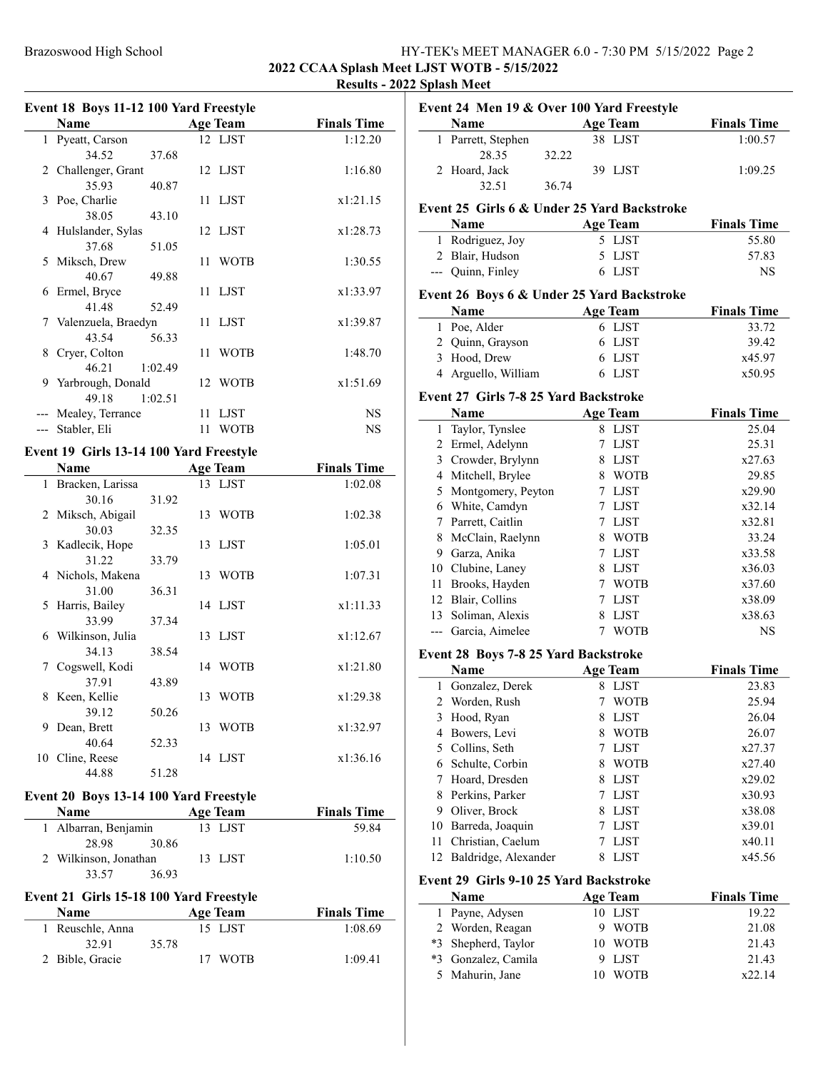# Brazoswood High School High School HY-TEK's MEET MANAGER 6.0 - 7:30 PM 5/15/2022 Page 2 2022 CCAA Splash Meet LJST WOTB - 5/15/2022 Results - 2022 Splash Meet

|              | Event 18 Boys 11-12 100 Yard Freestyle  |         |    |                 |                    |
|--------------|-----------------------------------------|---------|----|-----------------|--------------------|
|              | Name                                    |         |    | <b>Age Team</b> | <b>Finals Time</b> |
| $\mathbf{1}$ | Pyeatt, Carson                          |         |    | 12 LJST         | 1:12.20            |
|              | 34.52                                   | 37.68   |    |                 |                    |
|              | 2 Challenger, Grant                     |         |    | 12 LJST         | 1:16.80            |
|              | 35.93                                   | 40.87   |    |                 |                    |
|              | 3 Poe, Charlie                          |         |    | 11 LJST         | x1:21.15           |
|              | 38.05                                   | 43.10   |    |                 |                    |
|              | 4 Hulslander, Sylas                     |         |    | 12 LJST         | x1:28.73           |
|              | 37.68                                   | 51.05   |    |                 |                    |
| 5.           | Miksch, Drew                            |         |    | 11 WOTB         | 1:30.55            |
|              | 40.67                                   | 49.88   |    |                 |                    |
| 6            | Ermel, Bryce                            |         |    | 11 LJST         | x1:33.97           |
|              | 41.48                                   | 52.49   |    |                 |                    |
|              | 7 Valenzuela, Braedyn                   |         |    | 11 LJST         | x1:39.87           |
|              | 43.54                                   | 56.33   |    |                 |                    |
| 8            | Cryer, Colton                           |         |    | 11 WOTB         | 1:48.70            |
|              | 46.21                                   | 1:02.49 |    |                 |                    |
| 9            | Yarbrough, Donald                       |         |    | 12 WOTB         | x1:51.69           |
|              | 49.18                                   | 1:02.51 |    |                 |                    |
|              | Mealey, Terrance                        |         | 11 | LJST            | <b>NS</b>          |
| $---$        | Stabler, Eli                            |         | 11 | <b>WOTB</b>     | <b>NS</b>          |
|              | Event 19 Girls 13-14 100 Yard Freestyle |         |    |                 |                    |
|              | <b>Name</b>                             |         |    | <b>Age Team</b> | <b>Finals Time</b> |
| 1            | Bracken, Larissa                        |         |    | 13 LJST         | 1:02.08            |
|              | 30.16                                   | 31.92   |    |                 |                    |
| 2            | Miksch, Abigail                         |         |    | 13 WOTB         | 1:02.38            |
|              | 30.03                                   | 32.35   |    |                 |                    |

|    | 30.03             | 32.35 |    |             |          |
|----|-------------------|-------|----|-------------|----------|
|    | 3 Kadlecik, Hope  |       |    | 13 LJST     | 1:05.01  |
|    | 31.22             | 33.79 |    |             |          |
|    | 4 Nichols, Makena |       | 13 | <b>WOTB</b> | 1:07.31  |
|    | 31.00             | 36.31 |    |             |          |
| 5. | Harris, Bailey    |       |    | 14 LJST     | x1:11.33 |
|    | 33.99             | 37.34 |    |             |          |
| 6. | Wilkinson, Julia  |       |    | 13 LJST     | x1:12.67 |
|    | 34.13             | 38.54 |    |             |          |
|    | Cogswell, Kodi    |       |    | 14 WOTB     | x1:21.80 |
|    | 37.91             | 43.89 |    |             |          |
| 8  | Keen, Kellie      |       | 13 | <b>WOTB</b> | x1:29.38 |
|    | 39.12             | 50.26 |    |             |          |
| 9  | Dean, Brett       |       | 13 | <b>WOTB</b> | x1:32.97 |
|    | 40.64             | 52.33 |    |             |          |
| 10 | Cline, Reese      |       | 14 | LJST        | x1:36.16 |
|    | 44.88             | 51.28 |    |             |          |

# Event 20 Boys 13-14 100 Yard Freestyle

| <b>Name</b>           | Age Team | <b>Finals Time</b> |
|-----------------------|----------|--------------------|
| 1 Albarran, Benjamin  | 13 LJST  | 59.84              |
| 28.98<br>30.86        |          |                    |
| 2 Wilkinson, Jonathan | 13 LJST  | 1:10.50            |
| 33.57<br>36.93        |          |                    |

# Event 21 Girls 15-18 100 Yard Freestyle

| <b>Name</b>      |       | Age Team | <b>Finals Time</b> |
|------------------|-------|----------|--------------------|
| 1 Reuschle, Anna |       | 15 LJST  | 1:08.69            |
| 32.91            | 35.78 |          |                    |
| 2 Bible, Gracie  |       | 17 WOTB  | 1:09.41            |

| Event 24 Men 19 & Over 100 Yard Freestyle |                                              |                   |                    |  |
|-------------------------------------------|----------------------------------------------|-------------------|--------------------|--|
|                                           | Name                                         | <b>Age Team</b>   | <b>Finals Time</b> |  |
|                                           | 1 Parrett, Stephen                           | 38 LJST           | 1:00.57            |  |
|                                           | 28.35                                        | 32.22             |                    |  |
|                                           | 2 Hoard, Jack                                | 39 LJST           | 1:09.25            |  |
|                                           | 32.51                                        | 36.74             |                    |  |
|                                           | Event 25 Girls 6 & Under 25 Yard Backstroke  |                   |                    |  |
|                                           | Name                                         | <b>Age Team</b>   | <b>Finals Time</b> |  |
|                                           | 1 Rodriguez, Joy                             | 5 LJST            | 55.80              |  |
|                                           | 2 Blair, Hudson                              | 5 LJST            | 57.83              |  |
|                                           | --- Quinn, Finley                            | 6 LJST            | <b>NS</b>          |  |
|                                           | Event 26 Boys 6 & Under 25 Yard Backstroke   |                   |                    |  |
|                                           | Name                                         | <b>Age Team</b>   | <b>Finals Time</b> |  |
|                                           | 1 Poe, Alder                                 | 6 LJST            | 33.72              |  |
|                                           | 2 Quinn, Grayson                             | LJST<br>6         | 39.42              |  |
|                                           | 3 Hood, Drew                                 | 6 LJST            | x45.97             |  |
|                                           | 4 Arguello, William                          | 6 LJST            | x50.95             |  |
|                                           | <b>Event 27 Girls 7-8 25 Yard Backstroke</b> |                   |                    |  |
|                                           | <b>Name</b>                                  | <b>Age Team</b>   | <b>Finals Time</b> |  |
|                                           | 1 Taylor, Tynslee                            | 8 LJST            | 25.04              |  |
|                                           | 2 Ermel, Adelynn                             | 7 LJST            | 25.31              |  |
|                                           | 3 Crowder, Brylynn                           | 8 LJST            | x27.63             |  |
|                                           | 4 Mitchell, Brylee                           | 8 WOTB            | 29.85              |  |
|                                           | 5 Montgomery, Peyton                         | 7 LJST            | x29.90             |  |
|                                           | 6 White, Camdyn                              | 7 LJST            | x32.14             |  |
|                                           | 7 Parrett, Caitlin                           | 7 LJST            | x32.81             |  |
|                                           | 8 McClain, Raelynn                           | 8 WOTB            | 33.24              |  |
|                                           | 9 Garza, Anika                               | 7 LJST            | x33.58             |  |
|                                           | 10 Clubine, Laney                            | 8 LJST            | x36.03             |  |
|                                           | 11 Brooks, Hayden                            | 7 WOTB            | x37.60             |  |
|                                           | 12 Blair, Collins                            | 7 LJST            | x38.09             |  |
|                                           | 13 Soliman, Alexis                           | 8 LJST            | x38.63             |  |
|                                           | --- Garcia, Aimelee                          | WOTB<br>7         | NS                 |  |
|                                           | Event 28 Boys 7-8 25 Yard Backstroke         |                   |                    |  |
|                                           | <b>Name</b>                                  | <b>Age Team</b>   | <b>Finals Time</b> |  |
|                                           | 1 Gonzalez, Derek                            | 8 LJST            | 23.83              |  |
| $\overline{c}$                            | Worden, Rush                                 | 7<br><b>WOTB</b>  | 25.94              |  |
| 3                                         | Hood, Ryan                                   | <b>LJST</b><br>8  | 26.04              |  |
|                                           | 4 Bowers, Levi                               | <b>WOTB</b><br>8  | 26.07              |  |
|                                           | 5 Collins, Seth                              | 7<br>LJST         | x27.37             |  |
|                                           | 6 Schulte, Corbin                            | 8 WOTB            | x27.40             |  |
| 7                                         | Hoard, Dresden                               | LJST<br>8         | x29.02             |  |
|                                           | 8 Perkins, Parker                            | LJST<br>7         | x30.93             |  |
|                                           | 9 Oliver, Brock                              | LJST<br>8         | x38.08             |  |
| 10                                        | Barreda, Joaquin                             | LJST<br>7         | x39.01             |  |
| 11                                        | Christian, Caelum                            | 7<br><b>LJST</b>  | x40.11             |  |
| 12                                        | Baldridge, Alexander                         | LJST<br>8         | x45.56             |  |
|                                           | Event 29 Girls 9-10 25 Yard Backstroke       |                   |                    |  |
|                                           | Name                                         | <b>Age Team</b>   | <b>Finals Time</b> |  |
| 1                                         | Payne, Adysen                                | 10 LJST           | 19.22              |  |
|                                           | 2 Worden, Reagan                             | 9<br><b>WOTB</b>  | 21.08              |  |
|                                           | *3 Shepherd, Taylor                          | 10 WOTB           | 21.43              |  |
|                                           | *3 Gonzalez, Camila                          | LJST<br>9         | 21.43              |  |
| 5.                                        | Mahurin, Jane                                | <b>WOTB</b><br>10 | x22.14             |  |
|                                           |                                              |                   |                    |  |
|                                           |                                              |                   |                    |  |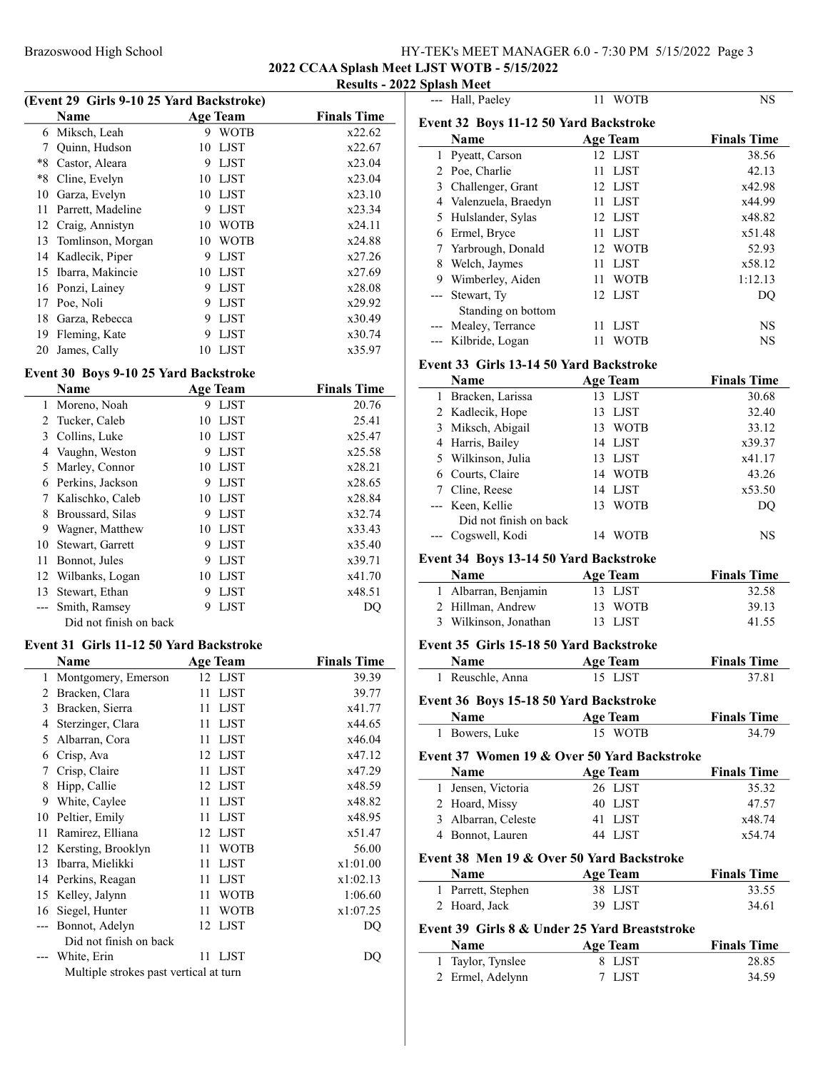# Brazoswood High School High School HY-TEK's MEET MANAGER 6.0 - 7:30 PM 5/15/2022 Page 3 2022 CCAA Splash Meet LJST WOTB - 5/15/2022

#### Results - 2022 Splash Meet --- Hall, Paeley 11 WOTB NS

| (Event 29 Girls 9-10 25 Yard Backstroke) |                   |    |             |                    |  |  |
|------------------------------------------|-------------------|----|-------------|--------------------|--|--|
|                                          | <b>Name</b>       |    | Age Team    | <b>Finals Time</b> |  |  |
| 6                                        | Miksch, Leah      | 9  | <b>WOTB</b> | x22.62             |  |  |
| 7                                        | Quinn, Hudson     | 10 | LJST        | x22.67             |  |  |
| *8                                       | Castor, Aleara    | 9  | <b>LIST</b> | x23.04             |  |  |
| *8                                       | Cline, Evelyn     | 10 | LJST        | x23.04             |  |  |
| 10                                       | Garza, Evelyn     |    | 10 LJST     | x23.10             |  |  |
| 11                                       | Parrett, Madeline | 9  | <b>LIST</b> | x23.34             |  |  |
| 12                                       | Craig, Annistyn   | 10 | <b>WOTB</b> | x24.11             |  |  |
| 13                                       | Tomlinson, Morgan | 10 | <b>WOTB</b> | x24.88             |  |  |
| 14                                       | Kadlecik, Piper   | 9  | <b>LIST</b> | x27.26             |  |  |
| 15                                       | Ibarra, Makincie  | 10 | LJST        | x27.69             |  |  |
| 16                                       | Ponzi, Lainey     | 9  | <b>LIST</b> | x28.08             |  |  |
| 17                                       | Poe, Noli         | 9  | LJST        | x29.92             |  |  |
| 18                                       | Garza, Rebecca    | 9  | <b>LIST</b> | x30.49             |  |  |
| 19                                       | Fleming, Kate     | 9  | <b>LIST</b> | x30.74             |  |  |
| 20                                       | James, Cally      | 10 | LJST        | x35.97             |  |  |
|                                          |                   |    |             |                    |  |  |

#### Event 30 Boys 9-10 25 Yard Backstroke

|    | Name                   |    | <b>Age Team</b> | <b>Finals Time</b> |
|----|------------------------|----|-----------------|--------------------|
| 1  | Moreno, Noah           | 9  | LJST            | 20.76              |
| 2  | Tucker, Caleb          | 10 | <b>LJST</b>     | 25.41              |
| 3  | Collins, Luke          | 10 | LJST            | x25.47             |
| 4  | Vaughn, Weston         | 9  | <b>LJST</b>     | x25.58             |
| 5  | Marley, Connor         | 10 | <b>LJST</b>     | x28.21             |
| 6  | Perkins, Jackson       | 9  | <b>LJST</b>     | x28.65             |
| 7  | Kalischko, Caleb       | 10 | LJST            | x28.84             |
| 8  | Broussard, Silas       | 9  | <b>LIST</b>     | x32.74             |
| 9  | Wagner, Matthew        | 10 | LJST            | x33.43             |
| 10 | Stewart, Garrett       | 9  | <b>LJST</b>     | x35.40             |
| 11 | Bonnot, Jules          | 9  | <b>LIST</b>     | x39.71             |
| 12 | Wilbanks, Logan        | 10 | LJST            | x41.70             |
| 13 | Stewart, Ethan         | 9  | <b>LIST</b>     | x48.51             |
|    | Smith, Ramsey          | 9  | LJST            | DU                 |
|    | Did not finish on back |    |                 |                    |

#### Event 31 Girls 11-12 50 Yard Backstroke

|       | Name                                   | <b>Age Team</b>   | <b>Finals Time</b> |
|-------|----------------------------------------|-------------------|--------------------|
| 1     | Montgomery, Emerson                    | 12 LJST           | 39.39              |
| 2     | Bracken, Clara                         | <b>LJST</b><br>11 | 39.77              |
| 3     | Bracken, Sierra                        | <b>LJST</b><br>11 | x41.77             |
| 4     | Sterzinger, Clara                      | <b>LJST</b><br>11 | x44.65             |
| 5     | Albarran, Cora                         | <b>LJST</b><br>11 | x46.04             |
| 6     | Crisp, Ava                             | 12 LJST           | x47.12             |
| 7     | Crisp, Claire                          | <b>LJST</b><br>11 | x47.29             |
| 8     | Hipp, Callie                           | 12 LJST           | x48.59             |
| 9     | White, Caylee                          | <b>LJST</b><br>11 | x48.82             |
| 10    | Peltier, Emily                         | <b>LJST</b><br>11 | x48.95             |
| 11    | Ramirez, Elliana                       | 12 LJST           | x51.47             |
| 12    | Kersting, Brooklyn                     | <b>WOTB</b><br>11 | 56.00              |
| 13    | Ibarra, Mielikki                       | <b>LJST</b><br>11 | x1:01.00           |
| 14    | Perkins, Reagan                        | <b>LJST</b><br>11 | x1:02.13           |
| 15    | Kelley, Jalynn                         | <b>WOTB</b><br>11 | 1:06.60            |
|       | 16 Siegel, Hunter                      | <b>WOTB</b><br>11 | x1:07.25           |
| $---$ | Bonnot, Adelyn                         | LJST<br>12        | DQ                 |
|       | Did not finish on back                 |                   |                    |
|       | White, Erin                            | <b>LJST</b><br>11 | DO                 |
|       | Multiple strokes past vertical at turn |                   |                    |

|   | <b>Name</b>          | Age Team          | <b>Finals Time</b> |
|---|----------------------|-------------------|--------------------|
| 1 | Pyeatt, Carson       | 12 LJST           | 38.56              |
|   | 2 Poe, Charlie       | LJST<br>11        | 42.13              |
|   | 3 Challenger, Grant  | 12 LJST           | x42.98             |
|   | Valenzuela, Braedyn  | 11 LJST           | x44.99             |
|   | 5 Hulslander, Sylas  | 12 LJST           | x48.82             |
| 6 | Ermel, Bryce         | LJST<br>11        | x51.48             |
|   | Yarbrough, Donald    | 12 WOTB           | 52.93              |
| 8 | Welch, Jaymes        | LJST<br>11        | x58.12             |
| 9 | Wimberley, Aiden     | <b>WOTB</b><br>11 | 1:12.13            |
|   | --- Stewart, Ty      | 12 LJST           | DO                 |
|   | Standing on bottom   |                   |                    |
|   | --- Mealey, Terrance | LJST<br>11        | NS                 |
|   | --- Kilbride, Logan  | 11<br>WOTB        | NS                 |

# Event 33 Girls 13-14 50 Yard Backstroke

|   | <b>Name</b>            | <b>Age Team</b> |             | <b>Finals Time</b> |
|---|------------------------|-----------------|-------------|--------------------|
| 1 | Bracken, Larissa       | 13              | LJST        | 30.68              |
|   | 2 Kadlecik, Hope       | 13              | LJST        | 32.40              |
|   | 3 Miksch, Abigail      | 13              | <b>WOTB</b> | 33.12              |
|   | 4 Harris, Bailey       | 14 LJST         |             | x39.37             |
|   | 5 Wilkinson, Julia     | 13              | LJST        | x41.17             |
|   | 6 Courts, Claire       |                 | 14 WOTB     | 43.26              |
|   | 7 Cline, Reese         | 14 LJST         |             | x53.50             |
|   | --- Keen, Kellie       | 13              | <b>WOTB</b> | DO                 |
|   | Did not finish on back |                 |             |                    |
|   | Cogswell, Kodi         | 14              | <b>WOTR</b> | NS                 |

# Event 34 Boys 13-14 50 Yard Backstroke

| <b>Name</b>           | Age Team | <b>Finals Time</b> |
|-----------------------|----------|--------------------|
| 1 Albarran, Benjamin  | 13 LJST  | 32.58              |
| 2 Hillman, Andrew     | 13 WOTB  | 39.13              |
| 3 Wilkinson, Jonathan | 13 LJST  | 41.55              |

|              | Event 35 Girls 15-18 50 Yard Backstroke |                                               |                    |
|--------------|-----------------------------------------|-----------------------------------------------|--------------------|
|              | Name                                    | Age Team                                      | <b>Finals Time</b> |
|              | 1 Reuschle, Anna                        | 15 LJST                                       | 37.81              |
|              | Event 36 Boys 15-18 50 Yard Backstroke  |                                               |                    |
|              | Name                                    | Age Team                                      | <b>Finals Time</b> |
|              | 1 Bowers, Luke                          | 15 WOTB                                       | 34.79              |
|              |                                         | Event 37 Women 19 & Over 50 Yard Backstroke   |                    |
|              | Name                                    | <b>Age Team</b>                               | <b>Finals Time</b> |
| $\mathbf{1}$ | Jensen, Victoria                        | 26 LJST                                       | 35.32              |
|              | 2 Hoard, Missy                          | 40 LJST                                       | 47.57              |
| 3            | Albarran, Celeste                       | 41 LJST                                       | x48.74             |
| 4            | Bonnot, Lauren                          | 44 LJST                                       | x54.74             |
|              |                                         | Event 38 Men 19 & Over 50 Yard Backstroke     |                    |
|              | Name                                    | <b>Age Team</b>                               | <b>Finals Time</b> |
|              | 1 Parrett, Stephen                      | 38 LJST                                       | 33.55              |
|              | 2 Hoard, Jack                           | 39 LJST                                       | 34.61              |
|              |                                         | Event 39 Girls 8 & Under 25 Yard Breaststroke |                    |
|              | Name                                    | <b>Age Team</b>                               | <b>Finals Time</b> |
| 1            | Taylor, Tynslee                         | 8<br>LJST                                     | 28.85              |

2 Ermel, Adelynn 7 LJST 34.59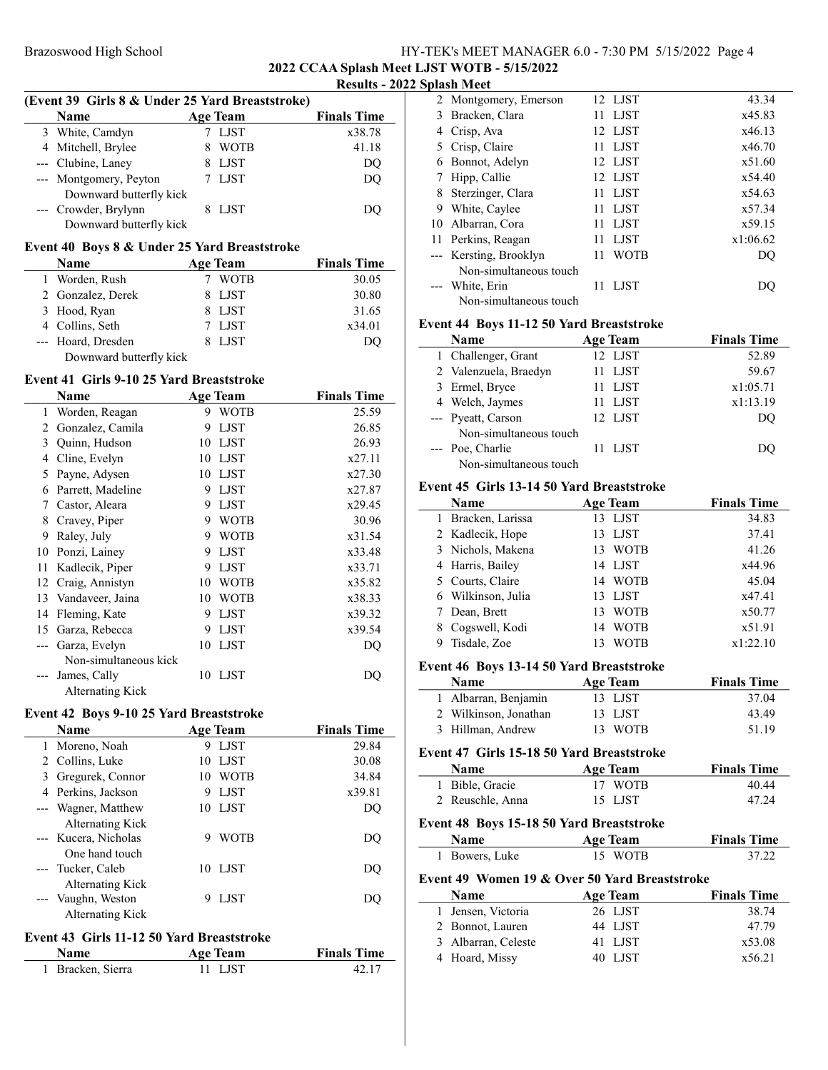# Brazoswood High School High School HY-TEK's MEET MANAGER 6.0 - 7:30 PM 5/15/2022 Page 4 2022 CCAA Splash Meet LJST WOTB - 5/15/2022

#### Results - 2022 Splash Meet

| (Event 39 Girls 8 & Under 25 Yard Breaststroke) |                         |  |                 |                    |  |
|-------------------------------------------------|-------------------------|--|-----------------|--------------------|--|
|                                                 | <b>Name</b>             |  | <b>Age Team</b> | <b>Finals Time</b> |  |
|                                                 | 3 White, Camdyn         |  | 7 LJST          | x38.78             |  |
|                                                 | 4 Mitchell, Brylee      |  | <b>WOTB</b>     | 41.18              |  |
|                                                 | --- Clubine, Laney      |  | <b>LJST</b>     | DQ                 |  |
|                                                 | --- Montgomery, Peyton  |  | 7 LJST          | DO                 |  |
|                                                 | Downward butterfly kick |  |                 |                    |  |
|                                                 | --- Crowder, Brylynn    |  | LIST.           | DO.                |  |
|                                                 | Downward butterfly kick |  |                 |                    |  |

# Event 40 Boys 8 & Under 25 Yard Breaststroke

| Name                    | <b>Age Team</b> | <b>Finals Time</b> |
|-------------------------|-----------------|--------------------|
| 1 Worden, Rush          | WOTB            | 30.05              |
| 2 Gonzalez, Derek       | 8 LJST          | 30.80              |
| 3 Hood, Ryan            | 8 LJST          | 31.65              |
| 4 Collins, Seth         | 7 LJST          | x34.01             |
| --- Hoard, Dresden      | 8 LJST          | DO                 |
| Downward butterfly kick |                 |                    |

# Event 41 Girls 9-10 25 Yard Breaststroke

|    | Name                    |    | <b>Age Team</b> | <b>Finals Time</b> |
|----|-------------------------|----|-----------------|--------------------|
| 1  | Worden, Reagan          | 9  | <b>WOTB</b>     | 25.59              |
| 2  | Gonzalez, Camila        | 9  | <b>LJST</b>     | 26.85              |
| 3  | Quinn, Hudson           | 10 | <b>LIST</b>     | 26.93              |
| 4  | Cline, Evelyn           | 10 | <b>LJST</b>     | x27.11             |
| 5  | Payne, Adysen           | 10 | <b>LIST</b>     | x27.30             |
| 6  | Parrett, Madeline       | 9  | <b>LJST</b>     | x27.87             |
| 7  | Castor, Aleara          | 9  | <b>LJST</b>     | x29.45             |
| 8  | Cravey, Piper           | 9  | WOTB            | 30.96              |
| 9  | Raley, July             | 9  | <b>WOTB</b>     | x31.54             |
| 10 | Ponzi, Lainey           | 9  | <b>LJST</b>     | x33.48             |
| 11 | Kadlecik, Piper         | 9  | <b>LJST</b>     | x33.71             |
| 12 | Craig, Annistyn         | 10 | WOTB            | x35.82             |
| 13 | Vandaveer, Jaina        | 10 | <b>WOTB</b>     | x38.33             |
| 14 | Fleming, Kate           | 9  | <b>LIST</b>     | x39.32             |
| 15 | Garza, Rebecca          | 9  | <b>LIST</b>     | x39.54             |
|    | Garza, Evelyn           | 10 | <b>LJST</b>     | DQ                 |
|    | Non-simultaneous kick   |    |                 |                    |
|    | James, Cally            | 10 | LJST            | DQ                 |
|    | <b>Alternating Kick</b> |    |                 |                    |

## Event 42 Boys 9-10 25 Yard Breaststroke

|   | <b>Name</b>                                                       |   | <b>Age Team</b> | <b>Finals Time</b> |
|---|-------------------------------------------------------------------|---|-----------------|--------------------|
|   | 1 Moreno, Noah                                                    | 9 | LJST            | 29.84              |
|   | 2 Collins, Luke                                                   |   | 10 LJST         | 30.08              |
| 3 | Gregurek, Connor                                                  |   | 10 WOTB         | 34.84              |
|   | 4 Perkins, Jackson                                                | 9 | LJST            | x39.81             |
|   | --- Wagner, Matthew                                               |   | 10 LJST         | DO                 |
|   | Alternating Kick<br>--- Kucera, Nicholas<br>One hand touch        | 9 | <b>WOTB</b>     | DO                 |
|   | --- Tucker, Caleb                                                 |   | 10 LJST         | DO                 |
|   | Alternating Kick<br>--- Vaughn, Weston<br><b>Alternating Kick</b> | 9 | LJST            | DO                 |

# Event 43 Girls 11-12 50 Yard Breaststroke

| <b>Name</b>       | Age Team | <b>Finals Time</b> |
|-------------------|----------|--------------------|
| 1 Bracken, Sierra | 11 LIST  | 42.17              |

|   | эрмэн элсс             |     |                |          |
|---|------------------------|-----|----------------|----------|
|   | 2 Montgomery, Emerson  |     | 12 LJST        | 43.34    |
| 3 | Bracken, Clara         |     | 11 LJST        | x45.83   |
| 4 | Crisp, Ava             |     | 12 LJST        | x46.13   |
| 5 | Crisp, Claire          | 11. | LJST           | x46.70   |
| 6 | Bonnot, Adelyn         |     | 12 LJST        | x51.60   |
|   | Hipp, Callie           |     | 12 LJST        | x54.40   |
| 8 | Sterzinger, Clara      |     | 11 <b>LIST</b> | x54.63   |
| 9 | White, Caylee          | 11. | LJST           | x57.34   |
|   | 10 Albarran, Cora      |     | 11 LJST        | x59.15   |
|   | 11 Perkins, Reagan     |     | 11 LJST        | x1:06.62 |
|   | --- Kersting, Brooklyn | 11  | <b>WOTB</b>    | DO       |
|   | Non-simultaneous touch |     |                |          |
|   | --- White, Erin        | 11  | LJST           | DU       |
|   | Non-simultaneous touch |     |                |          |

#### Event 44 Boys 11-12 50 Yard Breaststroke

| Name                   | <b>Age Team</b> | <b>Finals Time</b> |
|------------------------|-----------------|--------------------|
| 1 Challenger, Grant    | 12 LJST         | 52.89              |
| 2 Valenzuela, Braedyn  | 11 LJST         | 59.67              |
| 3 Ermel, Bryce         | 11 LJST         | x1:05.71           |
| 4 Welch, Jaymes        | 11 LJST         | x1:13.19           |
| --- Pyeatt, Carson     | 12 LJST         | DO                 |
| Non-simultaneous touch |                 |                    |
| --- Poe, Charlie       | 11 LJST         | DO                 |
| Non-simultaneous touch |                 |                    |

# Event 45 Girls 13-14 50 Yard Breaststroke

|              | <b>Name</b>                                   |    | <b>Age Team</b> | <b>Finals Time</b> |
|--------------|-----------------------------------------------|----|-----------------|--------------------|
| $\mathbf{1}$ | Bracken, Larissa                              |    | 13 LJST         | 34.83              |
|              | 2 Kadlecik, Hope                              | 13 | LJST            | 37.41              |
| 3            | Nichols, Makena                               | 13 | <b>WOTB</b>     | 41.26              |
| 4            | Harris, Bailey                                | 14 | <b>LJST</b>     | x44.96             |
| 5            | Courts, Claire                                | 14 | <b>WOTB</b>     | 45.04              |
| 6            | Wilkinson, Julia                              | 13 | LJST            | x47.41             |
| 7            | Dean, Brett                                   | 13 | <b>WOTB</b>     | x50.77             |
| 8            | Cogswell, Kodi                                | 14 | <b>WOTB</b>     | x51.91             |
| 9            | Tisdale, Zoe                                  | 13 | WOTB            | x1:22.10           |
|              | Event 46 Boys 13-14 50 Yard Breaststroke      |    |                 |                    |
|              | Name                                          |    | <b>Age Team</b> | <b>Finals Time</b> |
| $\mathbf{1}$ | Albarran, Benjamin                            |    | 13 LJST         | 37.04              |
|              | 2 Wilkinson, Jonathan                         | 13 | LJST            | 43.49              |
| 3            | Hillman, Andrew                               | 13 | <b>WOTB</b>     | 51.19              |
|              |                                               |    |                 |                    |
|              | Event 47 Girls 15-18 50 Yard Breaststroke     |    |                 |                    |
|              | <b>Name</b>                                   |    | <b>Age Team</b> | <b>Finals Time</b> |
|              | 1 Bible, Gracie                               | 17 | <b>WOTB</b>     | 40.44              |
| 2            | Reuschle, Anna                                |    | 15 LJST         | 47.24              |
|              | Event 48 Boys 15-18 50 Yard Breaststroke      |    |                 |                    |
|              | <b>Name</b>                                   |    | <b>Age Team</b> | <b>Finals Time</b> |
|              | 1 Bowers, Luke                                |    | 15 WOTB         | 37.22              |
|              | Event 49 Women 19 & Over 50 Yard Breaststroke |    |                 |                    |
|              | Name                                          |    | <b>Age Team</b> | <b>Finals Time</b> |
| 1            | Jensen, Victoria                              |    | 26 LJST         | 38.74              |
| 2            | Bonnot, Lauren                                |    | 44 LJST         | 47.79              |

3 Albarran, Celeste 41 LJST x53.08<br>4 Hoard, Missy 40 LJST x56.21

4 Hoard, Missy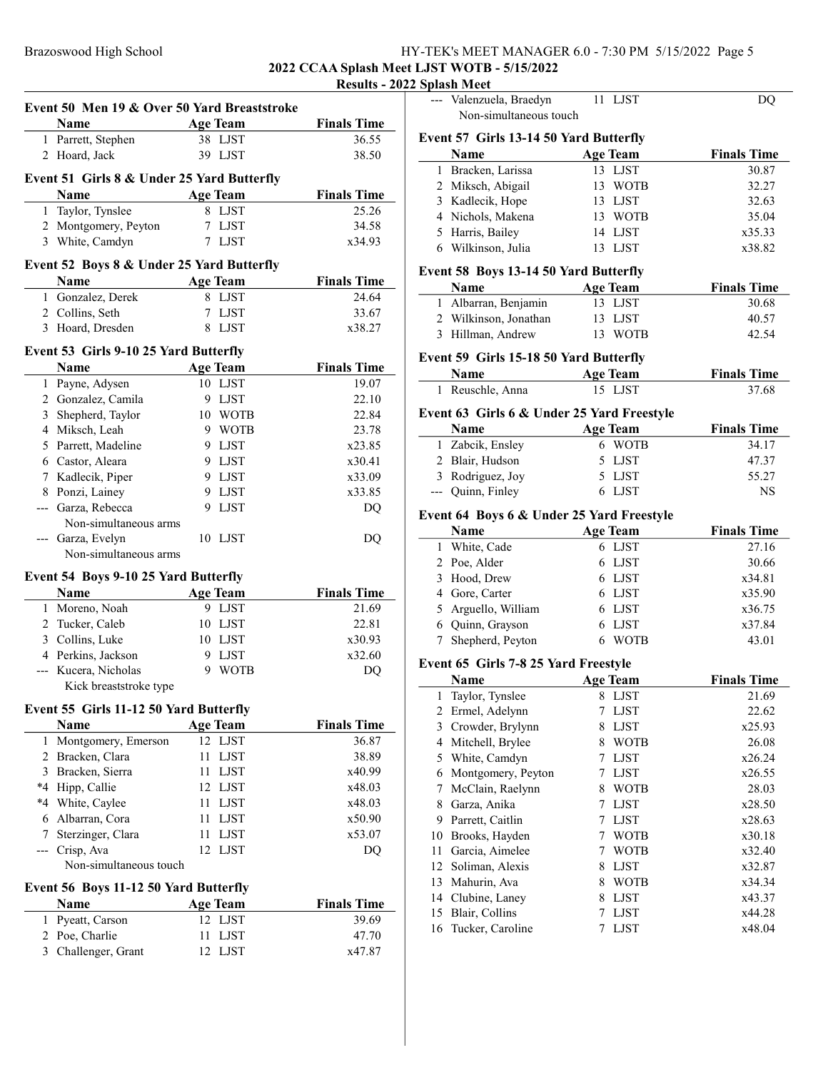# Brazoswood High School HY-TEK's MEET MANAGER 6.0 - 7:30 PM 5/15/2022 Page 5

2022 CCAA Splash Meet LJST WOTB - 5/15/2022 Results - 2022 Sp

|                | Event 50 Men 19 & Over 50 Yard Breaststroke |                     |                    |
|----------------|---------------------------------------------|---------------------|--------------------|
|                | <b>Name</b>                                 | <b>Age Team</b>     | <b>Finals Time</b> |
|                | 1 Parrett, Stephen                          | 38 LJST             | 36.55              |
|                | 2 Hoard, Jack                               | 39 LJST             | 38.50              |
|                | Event 51 Girls 8 & Under 25 Yard Butterfly  |                     |                    |
|                | Name                                        | <b>Age Team</b>     | <b>Finals Time</b> |
|                | 1 Taylor, Tynslee                           | 8 LJST              | 25.26              |
|                | 2 Montgomery, Peyton                        | 7 LJST              | 34.58              |
|                | 3 White, Camdyn                             | 7 LJST              | x34.93             |
|                |                                             |                     |                    |
|                | Event 52 Boys 8 & Under 25 Yard Butterfly   |                     |                    |
|                | Name                                        | <b>Age Team</b>     | <b>Finals Time</b> |
|                | 1 Gonzalez, Derek                           | 8 LJST              | 24.64              |
|                | 2 Collins, Seth                             | 7 LJST              | 33.67              |
|                | 3 Hoard, Dresden                            | 8 LJST              | x38.27             |
|                | Event 53 Girls 9-10 25 Yard Butterfly       |                     |                    |
|                | Name                                        | <b>Age Team</b>     | <b>Finals Time</b> |
|                | 1 Payne, Adysen                             | 10 LJST             | 19.07              |
|                | 2 Gonzalez, Camila                          | 9 LJST              | 22.10              |
|                | 3 Shepherd, Taylor                          | 10 WOTB             | 22.84              |
|                | 4 Miksch, Leah                              | 9 WOTB              | 23.78              |
|                | 5 Parrett, Madeline                         | 9 LJST              | x23.85             |
|                | 6 Castor, Aleara                            | 9 LJST              | x30.41             |
|                | 7 Kadlecik, Piper                           | 9 LJST              | x33.09             |
|                | 8 Ponzi, Lainey                             | 9 LJST              | x33.85             |
|                | --- Garza, Rebecca                          | 9 LJST              | DQ                 |
|                | Non-simultaneous arms                       |                     |                    |
|                | --- Garza, Evelyn                           | 10 LJST             | DQ                 |
|                | Non-simultaneous arms                       |                     |                    |
|                | Event 54 Boys 9-10 25 Yard Butterfly        |                     |                    |
|                | <b>Name</b>                                 | <b>Age Team</b>     | <b>Finals Time</b> |
|                | 1 Moreno, Noah                              | 9 LJST              | 21.69              |
|                | 2 Tucker, Caleb                             | 10 LJST             | 22.81              |
|                | 3 Collins, Luke                             | 10 LJST             | x30.93             |
|                | 4 Perkins, Jackson                          | 9 LJST              | x32.60             |
|                | --- Kucera, Nicholas                        | 9 WOTB              | DQ                 |
|                | Kick breaststroke type                      |                     |                    |
|                | Event 55 Girls 11-12 50 Yard Butterfly      |                     |                    |
|                | <b>Name</b>                                 | <b>Age Team</b>     | <b>Finals Time</b> |
| 1              | Montgomery, Emerson                         | 12 LJST             | 36.87              |
| 2              | Bracken, Clara                              | 11<br>LJST          | 38.89              |
| 3              | Bracken, Sierra                             | 11<br><b>LJST</b>   | x40.99             |
| *4             | Hipp, Callie                                | 12<br>LJST          | x48.03             |
| $*4$           | White, Caylee                               | 11<br><b>LJST</b>   | x48.03             |
|                | 6 Albarran, Cora                            | 11<br><b>LJST</b>   | x50.90             |
|                | 7 Sterzinger, Clara                         | $_{\rm LJST}$<br>11 | x53.07             |
|                | --- Crisp, Ava                              | 12<br><b>LJST</b>   | DQ                 |
|                | Non-simultaneous touch                      |                     |                    |
|                | Event 56 Boys 11-12 50 Yard Butterfly       |                     |                    |
|                | Name                                        | <b>Age Team</b>     | <b>Finals Time</b> |
| 1              | Pyeatt, Carson                              | 12 LJST             | 39.69              |
| $\overline{2}$ | Poe, Charlie                                | ${\rm LJST}$<br>11  | 47.70              |
| 3              | Challenger, Grant                           | 12<br>LJST          | x47.87             |

|    | Splash Meet                                |                            |                    |
|----|--------------------------------------------|----------------------------|--------------------|
|    | Valenzuela, Braedyn                        | 11 LJST                    | DQ                 |
|    | Non-simultaneous touch                     |                            |                    |
|    |                                            |                            |                    |
|    | Event 57 Girls 13-14 50 Yard Butterfly     |                            |                    |
|    | <b>Name</b>                                | <b>Age Team</b>            | <b>Finals Time</b> |
|    | 1 Bracken, Larissa                         | 13 LJST                    | 30.87              |
|    | 2 Miksch, Abigail                          | 13 WOTB                    | 32.27              |
|    | 3 Kadlecik, Hope                           | 13 LJST                    | 32.63              |
|    | 4 Nichols, Makena                          | 13 WOTB                    | 35.04              |
|    | 5 Harris, Bailey                           | 14 LJST                    | x35.33             |
|    | 6 Wilkinson, Julia                         | 13 LJST                    | x38.82             |
|    | Event 58 Boys 13-14 50 Yard Butterfly      |                            |                    |
|    | Name                                       | <b>Age Team</b>            | <b>Finals Time</b> |
|    | 1 Albarran, Benjamin                       | 13 LJST                    | 30.68              |
|    | 2 Wilkinson, Jonathan                      | 13<br>LJST                 | 40.57              |
|    | 3 Hillman, Andrew                          | 13<br><b>WOTB</b>          | 42.54              |
|    |                                            |                            |                    |
|    | Event 59 Girls 15-18 50 Yard Butterfly     |                            |                    |
|    | Name                                       | <b>Age Team</b>            | <b>Finals Time</b> |
|    | 1 Reuschle, Anna                           | 15 LJST                    | 37.68              |
|    | Event 63 Girls 6 & Under 25 Yard Freestyle |                            |                    |
|    | Name                                       | <b>Age Team</b>            | <b>Finals Time</b> |
|    | 1 Zabcik, Ensley                           | 6 WOTB                     | 34.17              |
|    | 2 Blair, Hudson                            | 5                          | 47.37              |
|    |                                            | LJST                       |                    |
|    | 3 Rodriguez, Joy                           | 5 LJST                     | 55.27              |
|    | --- Quinn, Finley                          | 6 LJST                     | NS                 |
|    | Event 64 Boys 6 & Under 25 Yard Freestyle  |                            |                    |
|    | <b>Name</b>                                | <b>Age Team</b>            | <b>Finals Time</b> |
|    | 1 White, Cade                              | 6 LJST                     | 27.16              |
|    | 2 Poe, Alder                               | 6 LJST                     | 30.66              |
|    | 3 Hood, Drew                               | 6 LJST                     | x34.81             |
|    | 4 Gore, Carter                             | 6 LJST                     | x35.90             |
|    | 5 Arguello, William                        | 6 LJST                     | x36.75             |
|    | 6 Quinn, Grayson                           | 6 LJST                     | x37.84             |
| 7  | Shepherd, Peyton                           | 6 WOTB                     | 43.01              |
|    |                                            |                            |                    |
|    | Event 65 Girls 7-8 25 Yard Freestyle       |                            |                    |
|    | <b>Name</b>                                | <b>Age Team</b>            | <b>Finals Time</b> |
| 1  | Taylor, Tynslee                            | 8<br>LJST                  | 21.69              |
| 2  | Ermel, Adelynn                             | <b>LJST</b><br>7           | 22.62              |
| 3  | Crowder, Brylynn                           | 8<br>LJST                  | x25.93             |
| 4  | Mitchell, Brylee                           | <b>WOTB</b><br>8           | 26.08              |
| 5  | White, Camdyn                              | <b>LJST</b><br>$7^{\circ}$ | x26.24             |
| 6  | Montgomery, Peyton                         | <b>LJST</b><br>7           | x26.55             |
| 7  | McClain, Raelynn                           | <b>WOTB</b><br>8           | 28.03              |
| 8  | Garza, Anika                               | <b>LJST</b><br>7           | x28.50             |
| 9  | Parrett, Caitlin                           | 7<br><b>LJST</b>           | x28.63             |
| 10 | Brooks, Hayden                             | <b>WOTB</b><br>7           | x30.18             |
| 11 | Garcia, Aimelee                            | 7<br><b>WOTB</b>           | x32.40             |
|    | 12 Soliman, Alexis                         | 8<br><b>LJST</b>           | x32.87             |
| 13 | Mahurin, Ava                               | 8<br><b>WOTB</b>           | x34.34             |
|    |                                            |                            |                    |
|    | 14 Clubine, Laney                          | 8<br><b>LJST</b>           | x43.37             |
| 15 | Blair, Collins                             | 7<br><b>LJST</b>           | x44.28             |
| 16 | Tucker, Caroline                           | 7<br><b>LJST</b>           | x48.04             |
|    |                                            |                            |                    |
|    |                                            |                            |                    |
|    |                                            |                            |                    |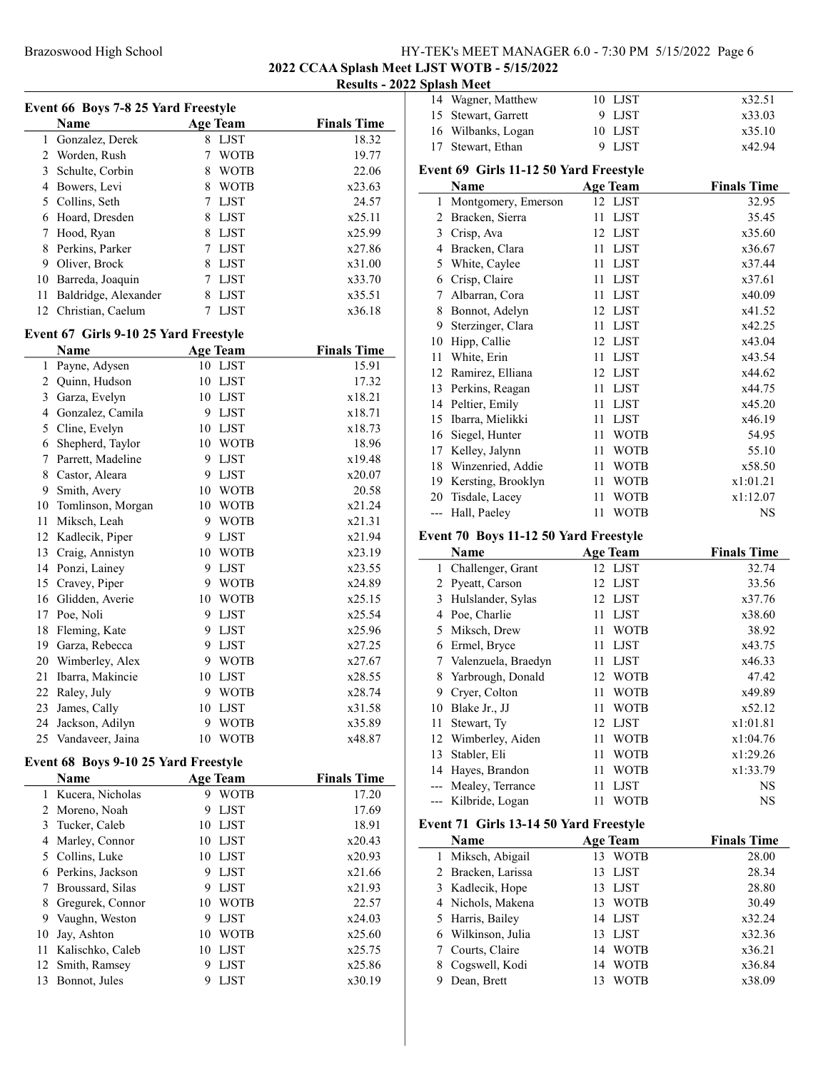#### Brazoswood High School Hyerostand HY-TEK's MEET MANAGER 6.0 - 7:30 PM 5/15/2022 Page 6 2022 CCAA Splash Meet LJST WOTB - 5/15/2022 Results - 2022 Splash Meet

Event 66 Boys 7-8 25 Yard Freestyle Name **Age Team** Finals Time 1 18.32<br>
2 Worden, Rush 18.32<br>
2 Worden, Rush 19.77 2 Worden, Rush 7 WOTB 3 Schulte, Corbin 8 WOTB 22.06 4 Bowers, Levi 8 WOTB  $x23.63$ 5 24.57 Collins, Seth 7 LJST 6 Hoard, Dresden 8 LJST x25.11 7 Hood, Ryan 8 LJST x25.99 8 Perkins, Parker 7 LJST  $x27.86$ 9 Oliver, Brock 8 LJST x31.00 10 Barreda, Joaquin 7 LJST x33.70 11 Baldridge, Alexander 8 LJST x35.51 12 Christian, Caelum 7 LJST x36.18 Event 67 Girls 9-10 25 Yard Freestyle Name **Age Team** Finals Time 1 Payne, Adysen 10 LJST 15.91 2 Quinn, Hudson 10 LJST 17.32 3 Garza, Evelyn 10 LJST x18.21 4 Gonzalez, Camila 9 LJST x18.71 5 x18.73 Cline, Evelyn 10 LJST 6 18.96 Shepherd, Taylor 10 WOTB 7 Parrett, Madeline 9 LJST x19.48 8 Castor, Aleara 9 LJST x20.07 9 20.58 Smith, Avery 10 WOTB 10 Tomlinson, Morgan 10 WOTB  $x21.24$ 11 Miksch, Leah 9 WOTB x21.31 12 Kadlecik, Piper 9 LJST x21.94 13 x23.19 Craig, Annistyn 10 WOTB 14 Ponzi, Lainey 9 LJST x23.55 15 Cravey, Piper 9 WOTB x24.89 16 x25.15 Glidden, Averie 10 WOTB 17 Poe, Noli 9 LJST x25.54 18 Fleming, Kate 9 LJST x25.96 19 x27.25 Garza, Rebecca 9 LJST 20 Wimberley, Alex 9 WOTB  $x27.67$ 21 Ibarra, Makincie 10 LJST x28.55 22 Raley, July 9 WOTB  $x28.74$ 23 James, Cally 10 LJST x31.58 24 Jackson, Adilyn 9 WOTB x35.89 25 x48.87 Vandaveer, Jaina 10 WOTB Event 68 Boys 9-10 25 Yard Freestyle Name Age Team Finals Time 1 Kucera, Nicholas 9 WOTB 17.20

|    | Name               |    | Age leam    | rinais lime |
|----|--------------------|----|-------------|-------------|
| 1. | Kucera, Nicholas   | 9  | <b>WOTB</b> | 17.20       |
|    | 2 Moreno, Noah     | 9  | <b>LJST</b> | 17.69       |
| 3  | Tucker, Caleb      | 10 | <b>LIST</b> | 18.91       |
| 4  | Marley, Connor     | 10 | <b>LJST</b> | x20.43      |
|    | 5 Collins, Luke    | 10 | <b>LJST</b> | x20.93      |
|    | 6 Perkins, Jackson | 9  | LJST        | x21.66      |
| 7  | Broussard, Silas   | 9  | <b>LIST</b> | x21.93      |
| 8  | Gregurek, Connor   | 10 | WOTB        | 22.57       |
| 9  | Vaughn, Weston     | 9  | LJST        | x24.03      |
| 10 | Jay, Ashton        | 10 | <b>WOTB</b> | x25.60      |
| 11 | Kalischko, Caleb   | 10 | <b>LIST</b> | x25.75      |
|    | 12 Smith, Ramsey   | 9  | <b>LJST</b> | x25.86      |
| 13 | Bonnot, Jules      | 9  | LJST        | x30.19      |
|    |                    |    |             |             |

|    | эріазіі ічіссі                         |           |                    |
|----|----------------------------------------|-----------|--------------------|
|    | 14 Wagner, Matthew                     | 10 LJST   | x32.51             |
|    | 15 Stewart, Garrett                    | LJST<br>9 | x33.03             |
|    | 16 Wilbanks, Logan                     | 10 LJST   | x35.10             |
| 17 | Stewart, Ethan                         | LJST<br>9 | x42.94             |
|    |                                        |           |                    |
|    | Event 69 Girls 11-12 50 Yard Freestyle |           |                    |
|    | <b>Name</b>                            | Age Team  | <b>Finals Time</b> |
|    | 1 Montgomery, Emerson                  | 12 LJST   | 32.95              |
|    | 2 Bracken, Sierra                      | 11 LJST   | 35.45              |
|    | 3 Crisp, Ava                           | 12 LJST   | x35.60             |
|    | 4 Bracken, Clara                       | LJST      | x36.67             |

|    | 5 White, Caylee      | 11  | LJST        | x37.44   |
|----|----------------------|-----|-------------|----------|
| 6  | Crisp, Claire        | 11  | LJST        | x37.61   |
| 7  | Albarran, Cora       |     | 11 LJST     | x40.09   |
| 8  | Bonnot, Adelyn       |     | 12 LJST     | x41.52   |
| 9  | Sterzinger, Clara    | 11  | <b>LJST</b> | x42.25   |
| 10 | Hipp, Callie         |     | 12 LJST     | x43.04   |
| 11 | White, Erin          | 11  | <b>LJST</b> | x43.54   |
|    | 12 Ramirez, Elliana  |     | 12 LJST     | x44.62   |
|    | 13 Perkins, Reagan   | 11  | LJST        | x44.75   |
|    | 14 Peltier, Emily    | 11  | LJST        | x45.20   |
|    | 15 Ibarra, Mielikki  | 11. | LJST        | x46.19   |
|    | 16 Siegel, Hunter    | 11  | <b>WOTB</b> | 54.95    |
| 17 | Kelley, Jalynn       | 11  | WOTB        | 55.10    |
|    | 18 Winzenried, Addie | 11  | WOTB        | x58.50   |
| 19 | Kersting, Brooklyn   | 11  | WOTB        | x1:01.21 |
|    | 20 Tisdale, Lacey    | 11  | WOTB        | x1:12.07 |
|    | --- Hall, Paeley     | 11  | WOTB        | NS       |

# Event 70 Boys 11-12 50 Yard Freestyle

| EVENT TO DOYS II-12 50 TATU FICESIYIC |                                        |                   |                    |  |  |
|---------------------------------------|----------------------------------------|-------------------|--------------------|--|--|
|                                       | Name                                   | <b>Age Team</b>   | <b>Finals Time</b> |  |  |
| $\mathbf{1}$                          | Challenger, Grant                      | 12 LJST           | 32.74              |  |  |
| 2                                     | Pyeatt, Carson                         | <b>LJST</b><br>12 | 33.56              |  |  |
| 3                                     | Hulslander, Sylas                      | <b>LJST</b><br>12 | x37.76             |  |  |
| $\overline{4}$                        | Poe, Charlie                           | <b>LJST</b><br>11 | x38.60             |  |  |
| 5                                     | Miksch, Drew                           | <b>WOTB</b><br>11 | 38.92              |  |  |
| 6                                     | Ermel, Bryce                           | <b>LJST</b><br>11 | x43.75             |  |  |
| 7                                     | Valenzuela, Braedyn                    | <b>LJST</b><br>11 | x46.33             |  |  |
| 8                                     | Yarbrough, Donald                      | <b>WOTB</b><br>12 | 47.42              |  |  |
| 9                                     | Cryer, Colton                          | <b>WOTB</b><br>11 | x49.89             |  |  |
| 10                                    | Blake Jr., JJ                          | <b>WOTB</b><br>11 | x52.12             |  |  |
| 11                                    | Stewart, Ty                            | 12<br><b>LJST</b> | x1:01.81           |  |  |
| 12                                    | Wimberley, Aiden                       | <b>WOTB</b><br>11 | x1:04.76           |  |  |
| 13                                    | Stabler, Eli                           | <b>WOTB</b><br>11 | x1:29.26           |  |  |
| 14                                    | Hayes, Brandon                         | <b>WOTB</b><br>11 | x1:33.79           |  |  |
| ---                                   | Mealey, Terrance                       | <b>LJST</b><br>11 | <b>NS</b>          |  |  |
| $---$                                 | Kilbride, Logan                        | WOTB<br>11        | <b>NS</b>          |  |  |
|                                       | Event 71 Girls 13-14 50 Yard Freestyle |                   |                    |  |  |
|                                       | Name                                   | <b>Age Team</b>   | <b>Finals Time</b> |  |  |
| 1                                     | Miksch, Abigail                        | <b>WOTB</b><br>13 | 28.00              |  |  |
| 2                                     | Bracken, Larissa                       | 13<br><b>LJST</b> | 28.34              |  |  |
| 3                                     | Kadlecik, Hope                         | <b>LJST</b><br>13 | 28.80              |  |  |
| $\overline{4}$                        | Nichols, Makena                        | <b>WOTB</b><br>13 | 30.49              |  |  |
| 5                                     | Harris, Bailey                         | <b>LJST</b><br>14 | x32.24             |  |  |
| 6                                     | Wilkinson, Julia                       | 13<br><b>LJST</b> | x32.36             |  |  |
| 7                                     | Courts, Claire                         | <b>WOTB</b><br>14 | x36.21             |  |  |
| 8                                     | Cogswell, Kodi                         | <b>WOTB</b><br>14 | x36.84             |  |  |
| 9                                     | Dean, Brett                            | <b>WOTB</b><br>13 | x38.09             |  |  |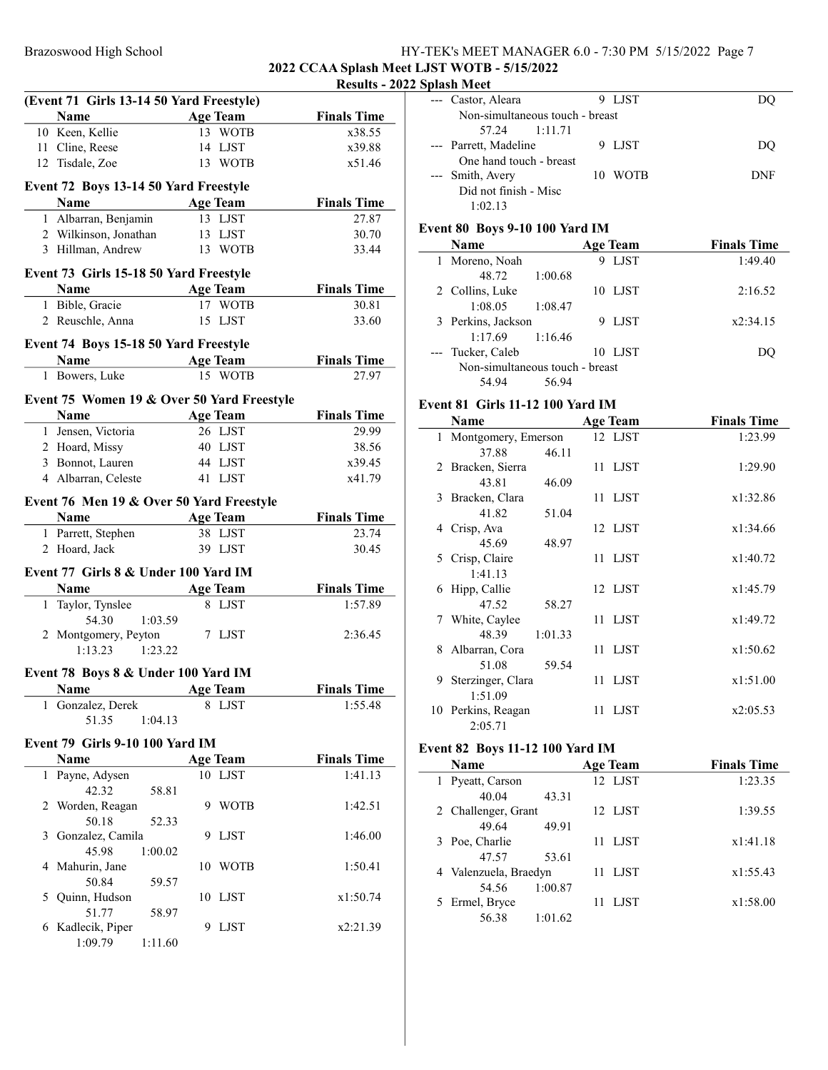# Brazoswood High School Hy-TEK's MEET MANAGER 6.0 - 7:30 PM 5/15/2022 Page 7 2022 CCAA Splash Meet LJST WOTB - 5/15/2022

# Results - 2022 Splash Meet

|   | (Event 71 Girls 13-14 50 Yard Freestyle)   |                 |                 |                    |
|---|--------------------------------------------|-----------------|-----------------|--------------------|
|   | Name                                       |                 | <b>Age Team</b> | <b>Finals Time</b> |
|   | 10 Keen, Kellie                            |                 | 13 WOTB         | x38.55             |
|   | 11 Cline, Reese                            |                 | 14 LJST         | x39.88             |
|   | 12 Tisdale, Zoe                            |                 | 13 WOTB         | x51.46             |
|   |                                            |                 |                 |                    |
|   | Event 72 Boys 13-14 50 Yard Freestyle      |                 |                 |                    |
|   | Name                                       |                 | <b>Age Team</b> | <b>Finals Time</b> |
|   | 1 Albarran, Benjamin                       |                 | 13 LJST         | 27.87              |
|   | 2 Wilkinson, Jonathan                      |                 | 13 LJST         | 30.70              |
|   | 3 Hillman, Andrew                          |                 | 13 WOTB         | 33.44              |
|   | Event 73 Girls 15-18 50 Yard Freestyle     |                 |                 |                    |
|   | Name                                       | <b>Age Team</b> |                 | <b>Finals Time</b> |
|   | 1 Bible, Gracie                            |                 | 17 WOTB         | 30.81              |
|   | 2 Reuschle, Anna                           |                 | 15 LJST         | 33.60              |
|   | Event 74 Boys 15-18 50 Yard Freestyle      |                 |                 |                    |
|   |                                            |                 | <b>Age Team</b> | <b>Finals Time</b> |
|   | 1 Bowers, Luke                             |                 | 15 WOTB         | 27.97              |
|   |                                            |                 |                 |                    |
|   | Event 75 Women 19 & Over 50 Yard Freestyle |                 |                 |                    |
|   | Name Age Team                              |                 |                 | <b>Finals Time</b> |
|   | 1 Jensen, Victoria                         |                 | 26 LJST         | 29.99              |
|   | 2 Hoard, Missy                             |                 | 40 LJST         | 38.56              |
|   | 3 Bonnot, Lauren                           |                 | 44 LJST         | x39.45             |
|   | 4 Albarran, Celeste                        |                 | 41 LJST         | x41.79             |
|   | Event 76 Men 19 & Over 50 Yard Freestyle   |                 |                 |                    |
|   | Name                                       |                 |                 | <b>Finals Time</b> |
|   |                                            |                 | <b>Age Team</b> |                    |
|   | 1 Parrett, Stephen                         |                 | 38 LJST         | 23.74              |
|   | 2 Hoard, Jack                              |                 | 39 LJST         | 30.45              |
|   | Event 77 Girls 8 & Under 100 Yard IM       |                 |                 |                    |
|   | <b>Name</b>                                |                 | <b>Age Team</b> | <b>Finals Time</b> |
|   | 1 Taylor, Tynslee                          |                 | 8 LJST          | 1:57.89            |
|   | 54.30                                      | 1:03.59         |                 |                    |
|   | 2 Montgomery, Peyton                       |                 | 7 LJST          | 2:36.45            |
|   | 1:13.23                                    | 1:23.22         |                 |                    |
|   | Event 78 Boys 8 & Under 100 Yard IM        |                 |                 |                    |
|   | <b>Age Team</b><br><b>Name</b>             |                 |                 | <b>Finals Time</b> |
| 1 | Gonzalez, Derek                            |                 | 8 LJST          | 1:55.48            |
|   | 51.35                                      | 1:04.13         |                 |                    |
|   |                                            |                 |                 |                    |
|   | Event 79 Girls 9-10 100 Yard IM            |                 |                 |                    |
|   | <b>Name</b>                                |                 | <b>Age Team</b> | <b>Finals Time</b> |
| 1 | Payne, Adysen                              |                 | 10 LJST         | 1:41.13            |
|   | 42.32                                      | 58.81           |                 |                    |
| 2 | Worden, Reagan                             |                 | 9 WOTB          | 1:42.51            |
|   | 50.18                                      | 52.33           |                 |                    |
| 3 | Gonzalez, Camila                           | 9.              | LJST            | 1:46.00            |
|   | 45.98                                      | 1:00.02         |                 |                    |
|   | 4 Mahurin, Jane                            | 10              | <b>WOTB</b>     | 1:50.41            |
|   | 50.84                                      | 59.57           |                 |                    |
| 5 | Quinn, Hudson                              | 10              | LJST            | x1:50.74           |
|   | 51.77                                      | 58.97           |                 |                    |
|   | 6 Kadlecik, Piper                          | 9               | LJST            | x2:21.39           |
|   | 1:09.79                                    | 1:11.60         |                 |                    |

|     | --- Castor, Aleara                      | 9 LJST          | DQ                 |  |  |
|-----|-----------------------------------------|-----------------|--------------------|--|--|
|     | Non-simultaneous touch - breast         |                 |                    |  |  |
|     | 57.24<br>1:11.71                        |                 |                    |  |  |
| --- | Parrett, Madeline                       | 9 LJST          | DQ                 |  |  |
|     | One hand touch - breast                 |                 |                    |  |  |
|     | Smith, Avery                            | 10 WOTB         | <b>DNF</b>         |  |  |
|     | Did not finish - Misc                   |                 |                    |  |  |
|     | 1:02.13                                 |                 |                    |  |  |
|     |                                         |                 |                    |  |  |
|     | Event 80 Boys 9-10 100 Yard IM          |                 |                    |  |  |
|     | Name                                    | <b>Age Team</b> | <b>Finals Time</b> |  |  |
|     | 1 Moreno, Noah                          | 9 LJST          | 1:49.40            |  |  |
|     | 48.72<br>1:00.68                        |                 |                    |  |  |
|     | 2 Collins, Luke                         | 10 LJST         | 2:16.52            |  |  |
|     | 1:08.05<br>1:08.47                      |                 |                    |  |  |
|     | 3 Perkins, Jackson                      | 9 LJST          | x2:34.15           |  |  |
|     | 1:17.69<br>1:16.46                      |                 |                    |  |  |
|     | Tucker, Caleb                           | 10 LJST         | DQ                 |  |  |
|     | Non-simultaneous touch - breast         |                 |                    |  |  |
|     | 56.94<br>54.94                          |                 |                    |  |  |
|     | <b>Event 81 Girls 11-12 100 Yard IM</b> |                 |                    |  |  |
|     | Name                                    | <b>Age Team</b> | <b>Finals Time</b> |  |  |
|     | 1 Montgomery, Emerson                   | 12 LJST         | 1:23.99            |  |  |
|     | 37.88<br>46.11                          |                 |                    |  |  |
|     | 2 Bracken, Sierra                       | 11 LJST         | 1:29.90            |  |  |
|     | 43.81<br>46.09                          |                 |                    |  |  |
| 3   | Bracken, Clara                          | 11<br>LJST      | x1:32.86           |  |  |
|     | 41.82<br>51.04                          |                 |                    |  |  |
| 4   | Crisp, Ava                              | 12 LJST         | x1:34.66           |  |  |
|     | 45.69<br>48.97                          |                 |                    |  |  |
| 5   | Crisp, Claire                           | 11<br>LJST      | x1:40.72           |  |  |
|     | 1:41.13                                 |                 |                    |  |  |
| 6   | Hipp, Callie                            | 12 LJST         | x1:45.79           |  |  |
|     | 47.52<br>58.27                          |                 |                    |  |  |
| 7   | White, Caylee                           | 11 LJST         | x1:49.72           |  |  |
|     | 48.39<br>1:01.33                        |                 |                    |  |  |
| 8   | Albarran, Cora                          | 11 LJST         | x1:50.62           |  |  |
|     | 51.08<br>59.54                          |                 |                    |  |  |
| 9   | Sterzinger, Clara                       | 11 LJST         | x1:51.00           |  |  |
|     | 1:51.09                                 |                 |                    |  |  |
|     | 10 Perkins, Reagan                      | 11 LJST         | x2:05.53           |  |  |
|     | 2:05.71                                 |                 |                    |  |  |
|     |                                         |                 |                    |  |  |
|     | <b>Event 82 Boys 11-12 100 Yard IM</b>  |                 |                    |  |  |
|     | Name                                    | <b>Age Team</b> | <b>Finals Time</b> |  |  |
| 1   | Pyeatt, Carson                          | 12 LJST         | 1:23.35            |  |  |
|     | 40.04<br>43.31                          |                 |                    |  |  |
| 2   | Challenger, Grant                       | LJST<br>12      | 1:39.55            |  |  |
|     | 49.64<br>49.91                          |                 |                    |  |  |
| 3   | Poe, Charlie                            | LJST<br>11      | x1:41.18           |  |  |
|     | 47.57<br>53.61                          |                 |                    |  |  |
| 4   | Valenzuela, Braedyn                     | 11<br>LJST      | x1:55.43           |  |  |
|     | 54.56<br>1:00.87                        |                 |                    |  |  |
| 5   | Ermel, Bryce                            | 11<br>LJST      | x1:58.00           |  |  |
|     | 56.38<br>1:01.62                        |                 |                    |  |  |